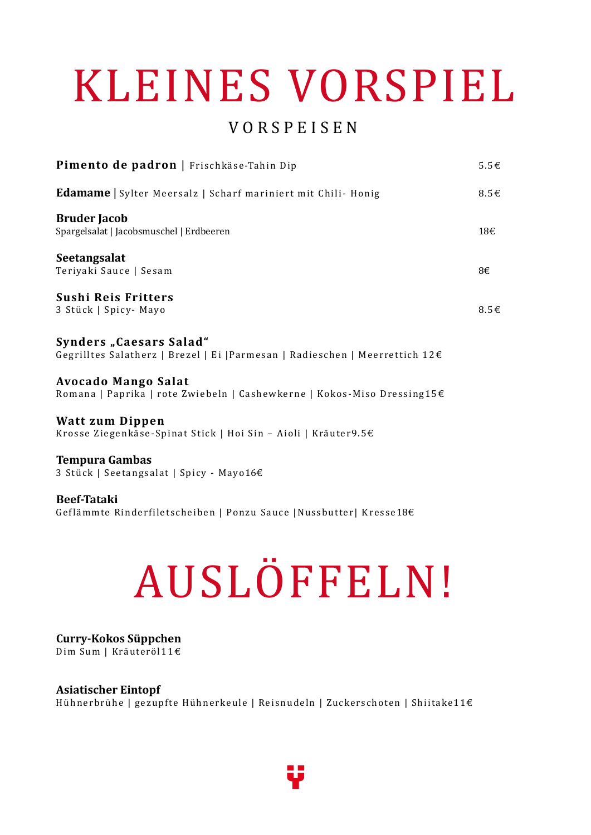# KLEINES VORSPIEL

## V O R S P E I S E N

| Pimento de padron   Frischkäse-Tahin Dip                                                                | $5.5 \in$          |
|---------------------------------------------------------------------------------------------------------|--------------------|
| <b>Edamame</b>   Sylter Meersalz   Scharf mariniert mit Chili- Honig                                    | $8.5 \text{ } \in$ |
| <b>Bruder Jacob</b><br>Spargelsalat   Jacobsmuschel   Erdbeeren                                         | 18€                |
| Seetangsalat<br>Teriyaki Sauce   Sesam                                                                  | 8€                 |
| Sushi Reis Fritters<br>3 Stück   Spicy - Mayo                                                           | $8.5 \text{ } \in$ |
| Synders "Caesars Salad"<br>Gegrilltes Salatherz   Brezel   Ei   Parmesan   Radieschen   Meerrettich 12€ |                    |

**Avocado Mango Salat** Romana | Paprika | rote Zwiebeln | Cashewkerne | Kokos-Miso Dressing15€

**Watt zum Dippen** Krosse Ziegenkäse-Spinat Stick | Hoi Sin – Aioli | Kräuter9.5 $\epsilon$ 

**Tempura Gambas** 3 Stück | Seeta ngsalat | Spicy - Mayo16€

**Beef-Tataki** Geflämmte Rinderfiletscheiben | Ponzu Sauce | Nussbutter| Kresse18€

# AUSLÖFFELN!

#### **Curry-Kokos Süppchen**  Dim Sum | Kräuteröl11€

**Asiatischer Eintopf**  Hühnerbrühe | gezupfte Hühnerkeule | Reisnudeln | Zuckerschoten | Shiitake11€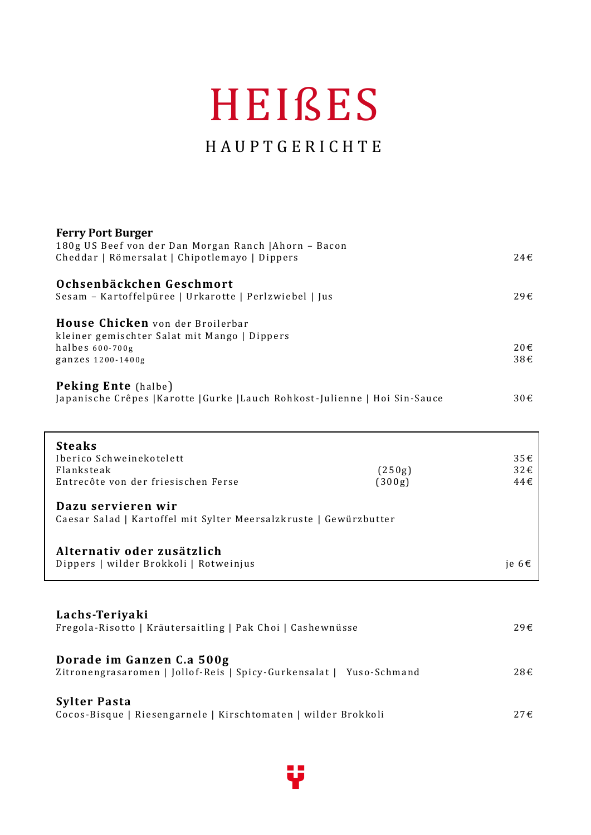## HEIßES

## H A U P T G E R I C H T E

| <b>Ferry Port Burger</b><br>180g US Beef von der Dan Morgan Ranch   Ahorn - Bacon |                  |                 |
|-----------------------------------------------------------------------------------|------------------|-----------------|
| Cheddar   Römersalat   Chipotlemayo   Dippers                                     |                  | 24E             |
| Ochsenbäckchen Geschmort                                                          |                  |                 |
| Sesam - Kartoffelpüree   Urkarotte   Perlzwiebel   Jus                            |                  | 29€             |
| House Chicken von der Broilerbar                                                  |                  |                 |
| kleiner gemischter Salat mit Mango   Dippers<br>halbes 600-700g                   |                  | 20€             |
| ganzes 1200-1400g                                                                 |                  | 38€             |
| Peking Ente (halbe)                                                               |                  |                 |
| Japanische Crêpes   Karotte   Gurke   Lauch Rohkost-Julienne   Hoi Sin-Sauce      |                  | 30€             |
|                                                                                   |                  |                 |
| <b>Steaks</b>                                                                     |                  |                 |
| Iberico Schweinekotelett<br>Flanksteak                                            |                  | 35E<br>32E      |
| Entrecôte von der friesischen Ferse                                               | (250g)<br>(300g) | 44€             |
| Dazu servieren wir                                                                |                  |                 |
| Caesar Salad   Kartoffel mit Sylter Meersalzkruste   Gewürzbutter                 |                  |                 |
| Alternativ oder zusätzlich                                                        |                  |                 |
| Dippers   wilder Brokkoli   Rotweinjus                                            |                  | je 6 $\epsilon$ |
|                                                                                   |                  |                 |
| Lachs-Teriyaki                                                                    |                  |                 |
| Fregola-Risotto   Kräutersaitling   Pak Choi   Cashewnüsse                        |                  | 29€             |
| Dorade im Ganzen C.a 500g                                                         |                  |                 |
| Zitronengrasaromen   Jollof-Reis   Spicy-Gurkensalat   Yuso-Schmand               |                  | 28€             |
| <b>Sylter Pasta</b>                                                               |                  |                 |
| Cocos-Bisque   Riesengarnele   Kirschtomaten   wilder Brokkoli                    |                  | 27€             |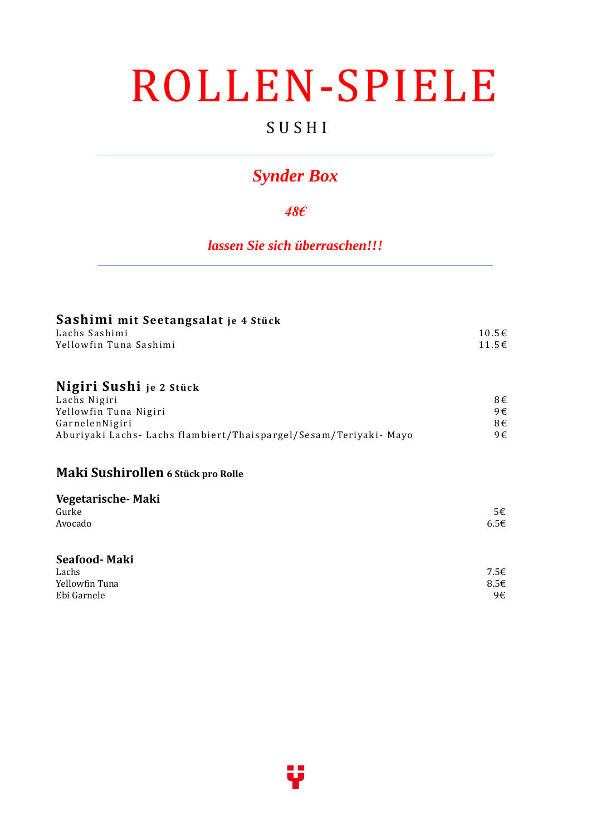## ROLLEN-SPIELE

## S U S H I

## *Synder Box*

#### *48€*

*lassen Sie sich überraschen!!!*

| Sashimi mit Seetangsalat je 4 Stück |       |
|-------------------------------------|-------|
| Lachs Sashimi                       | 10.5€ |
| Yellowfin Tuna Sashimi              | 11.5€ |
| Nigiri Cuchi va cuve                |       |

#### **Nigiri Sushi je 2 S tück**

| Lachs Nigiri                                                      | 8€ |
|-------------------------------------------------------------------|----|
| Yellowfin Tuna Nigiri                                             | 9€ |
| GarnelenNigiri                                                    | 8€ |
| Aburiyaki Lachs- Lachs flambiert/Thaispargel/Sesam/Teriyaki- Mayo | 9€ |

#### **Maki Sushirollen 6 Stück pro Rolle**

| Vegetarische-Maki |      |
|-------------------|------|
| Gurke             | 5€   |
| Avocado           | 6.5E |
| Seafood-Maki      |      |
| Lachs             | 7.5€ |

| Lachs          | 7.5€ |
|----------------|------|
| Yellowfin Tuna | 8.56 |
| Ebi Garnele    | 9€   |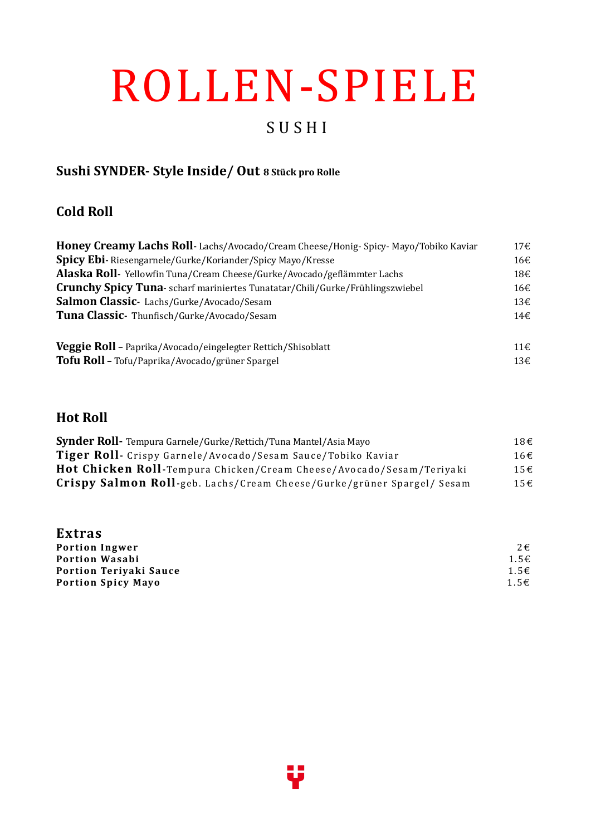# ROLLEN-SPIELE

## S U S H I

### **Sushi SYNDER- Style Inside/ Out 8 Stück pro Rolle**

#### **Cold Roll**

| Honey Creamy Lachs Roll-Lachs/Avocado/Cream Cheese/Honig-Spicy-Mayo/Tobiko Kaviar    | 17 <sup>ε</sup> |
|--------------------------------------------------------------------------------------|-----------------|
| <b>Spicy Ebi-</b> Riesengarnele/Gurke/Koriander/Spicy Mayo/Kresse                    | 16€             |
| Alaska Roll- Yellowfin Tuna/Cream Cheese/Gurke/Avocado/geflämmter Lachs              | 18€             |
| <b>Crunchy Spicy Tuna-</b> scharf mariniertes Tunatatar/Chili/Gurke/Frühlingszwiebel | 16€             |
| Salmon Classic-Lachs/Gurke/Avocado/Sesam                                             | 13€             |
| Tuna Classic- Thunfisch/Gurke/Avocado/Sesam                                          | 14€             |
| Veggie Roll - Paprika/Avocado/eingelegter Rettich/Shisoblatt                         | $11 \in$        |
| Tofu Roll - Tofu/Paprika/Avocado/grüner Spargel                                      | 13€             |

#### **Hot Roll**

| <b>Synder Roll-</b> Tempura Garnele/Gurke/Rettich/Tuna Mantel/Asia Mayo | 18€ |
|-------------------------------------------------------------------------|-----|
| Tiger Roll- Crispy Garnele/Avocado/Sesam Sauce/Tobiko Kaviar            | 16€ |
| Hot Chicken Roll-Tempura Chicken/Cream Cheese/Avocado/Sesam/Teriyaki    | 15f |
| Crispy Salmon Roll-geb. Lachs/Cream Cheese/Gurke/grüner Spargel/ Sesam  | 15€ |

| <b>Extras</b>             |              |
|---------------------------|--------------|
| <b>Portion Ingwer</b>     | $2 \epsilon$ |
| <b>Portion Wasabi</b>     | $1.5 \in$    |
| Portion Teriyaki Sauce    | $1.5 \in$    |
| <b>Portion Spicy Mayo</b> | $1.5 \in$    |